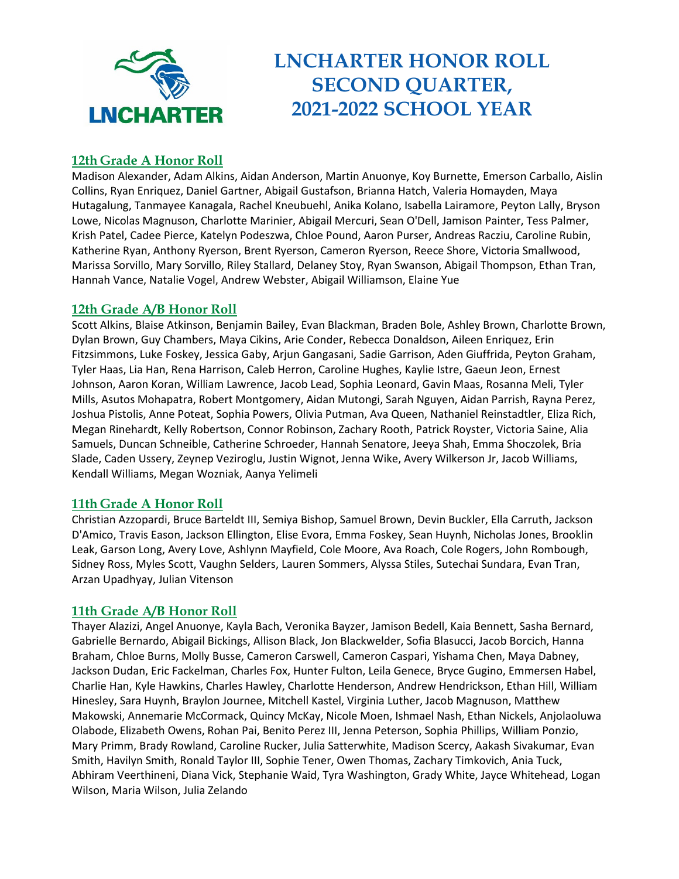

# **LNCHARTER HONOR ROLL SECOND QUARTER, 2021-2022 SCHOOL YEAR**

# **12th Grade A Honor Roll**

Madison Alexander, Adam Alkins, Aidan Anderson, Martin Anuonye, Koy Burnette, Emerson Carballo, Aislin Collins, Ryan Enriquez, Daniel Gartner, Abigail Gustafson, Brianna Hatch, Valeria Homayden, Maya Hutagalung, Tanmayee Kanagala, Rachel Kneubuehl, Anika Kolano, Isabella Lairamore, Peyton Lally, Bryson Lowe, Nicolas Magnuson, Charlotte Marinier, Abigail Mercuri, Sean O'Dell, Jamison Painter, Tess Palmer, Krish Patel, Cadee Pierce, Katelyn Podeszwa, Chloe Pound, Aaron Purser, Andreas Racziu, Caroline Rubin, Katherine Ryan, Anthony Ryerson, Brent Ryerson, Cameron Ryerson, Reece Shore, Victoria Smallwood, Marissa Sorvillo, Mary Sorvillo, Riley Stallard, Delaney Stoy, Ryan Swanson, Abigail Thompson, Ethan Tran, Hannah Vance, Natalie Vogel, Andrew Webster, Abigail Williamson, Elaine Yue

## **12th Grade A/B Honor Roll**

Scott Alkins, Blaise Atkinson, Benjamin Bailey, Evan Blackman, Braden Bole, Ashley Brown, Charlotte Brown, Dylan Brown, Guy Chambers, Maya Cikins, Arie Conder, Rebecca Donaldson, Aileen Enriquez, Erin Fitzsimmons, Luke Foskey, Jessica Gaby, Arjun Gangasani, Sadie Garrison, Aden Giuffrida, Peyton Graham, Tyler Haas, Lia Han, Rena Harrison, Caleb Herron, Caroline Hughes, Kaylie Istre, Gaeun Jeon, Ernest Johnson, Aaron Koran, William Lawrence, Jacob Lead, Sophia Leonard, Gavin Maas, Rosanna Meli, Tyler Mills, Asutos Mohapatra, Robert Montgomery, Aidan Mutongi, Sarah Nguyen, Aidan Parrish, Rayna Perez, Joshua Pistolis, Anne Poteat, Sophia Powers, Olivia Putman, Ava Queen, Nathaniel Reinstadtler, Eliza Rich, Megan Rinehardt, Kelly Robertson, Connor Robinson, Zachary Rooth, Patrick Royster, Victoria Saine, Alia Samuels, Duncan Schneible, Catherine Schroeder, Hannah Senatore, Jeeya Shah, Emma Shoczolek, Bria Slade, Caden Ussery, Zeynep Veziroglu, Justin Wignot, Jenna Wike, Avery Wilkerson Jr, Jacob Williams, Kendall Williams, Megan Wozniak, Aanya Yelimeli

## **11th Grade A Honor Roll**

Christian Azzopardi, Bruce Barteldt III, Semiya Bishop, Samuel Brown, Devin Buckler, Ella Carruth, Jackson D'Amico, Travis Eason, Jackson Ellington, Elise Evora, Emma Foskey, Sean Huynh, Nicholas Jones, Brooklin Leak, Garson Long, Avery Love, Ashlynn Mayfield, Cole Moore, Ava Roach, Cole Rogers, John Rombough, Sidney Ross, Myles Scott, Vaughn Selders, Lauren Sommers, Alyssa Stiles, Sutechai Sundara, Evan Tran, Arzan Upadhyay, Julian Vitenson

## **11th Grade A/B Honor Roll**

Thayer Alazizi, Angel Anuonye, Kayla Bach, Veronika Bayzer, Jamison Bedell, Kaia Bennett, Sasha Bernard, Gabrielle Bernardo, Abigail Bickings, Allison Black, Jon Blackwelder, Sofia Blasucci, Jacob Borcich, Hanna Braham, Chloe Burns, Molly Busse, Cameron Carswell, Cameron Caspari, Yishama Chen, Maya Dabney, Jackson Dudan, Eric Fackelman, Charles Fox, Hunter Fulton, Leila Genece, Bryce Gugino, Emmersen Habel, Charlie Han, Kyle Hawkins, Charles Hawley, Charlotte Henderson, Andrew Hendrickson, Ethan Hill, William Hinesley, Sara Huynh, Braylon Journee, Mitchell Kastel, Virginia Luther, Jacob Magnuson, Matthew Makowski, Annemarie McCormack, Quincy McKay, Nicole Moen, Ishmael Nash, Ethan Nickels, Anjolaoluwa Olabode, Elizabeth Owens, Rohan Pai, Benito Perez III, Jenna Peterson, Sophia Phillips, William Ponzio, Mary Primm, Brady Rowland, Caroline Rucker, Julia Satterwhite, Madison Scercy, Aakash Sivakumar, Evan Smith, Havilyn Smith, Ronald Taylor III, Sophie Tener, Owen Thomas, Zachary Timkovich, Ania Tuck, Abhiram Veerthineni, Diana Vick, Stephanie Waid, Tyra Washington, Grady White, Jayce Whitehead, Logan Wilson, Maria Wilson, Julia Zelando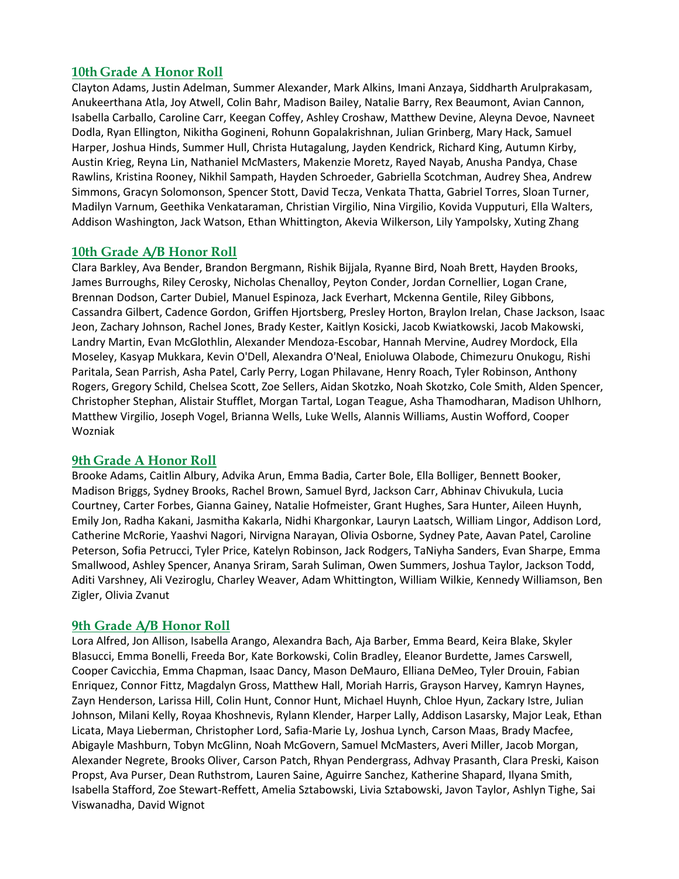## **10th Grade A Honor Roll**

Clayton Adams, Justin Adelman, Summer Alexander, Mark Alkins, Imani Anzaya, Siddharth Arulprakasam, Anukeerthana Atla, Joy Atwell, Colin Bahr, Madison Bailey, Natalie Barry, Rex Beaumont, Avian Cannon, Isabella Carballo, Caroline Carr, Keegan Coffey, Ashley Croshaw, Matthew Devine, Aleyna Devoe, Navneet Dodla, Ryan Ellington, Nikitha Gogineni, Rohunn Gopalakrishnan, Julian Grinberg, Mary Hack, Samuel Harper, Joshua Hinds, Summer Hull, Christa Hutagalung, Jayden Kendrick, Richard King, Autumn Kirby, Austin Krieg, Reyna Lin, Nathaniel McMasters, Makenzie Moretz, Rayed Nayab, Anusha Pandya, Chase Rawlins, Kristina Rooney, Nikhil Sampath, Hayden Schroeder, Gabriella Scotchman, Audrey Shea, Andrew Simmons, Gracyn Solomonson, Spencer Stott, David Tecza, Venkata Thatta, Gabriel Torres, Sloan Turner, Madilyn Varnum, Geethika Venkataraman, Christian Virgilio, Nina Virgilio, Kovida Vupputuri, Ella Walters, Addison Washington, Jack Watson, Ethan Whittington, Akevia Wilkerson, Lily Yampolsky, Xuting Zhang

## **10th Grade A/B Honor Roll**

Clara Barkley, Ava Bender, Brandon Bergmann, Rishik Bijjala, Ryanne Bird, Noah Brett, Hayden Brooks, James Burroughs, Riley Cerosky, Nicholas Chenalloy, Peyton Conder, Jordan Cornellier, Logan Crane, Brennan Dodson, Carter Dubiel, Manuel Espinoza, Jack Everhart, Mckenna Gentile, Riley Gibbons, Cassandra Gilbert, Cadence Gordon, Griffen Hjortsberg, Presley Horton, Braylon Irelan, Chase Jackson, Isaac Jeon, Zachary Johnson, Rachel Jones, Brady Kester, Kaitlyn Kosicki, Jacob Kwiatkowski, Jacob Makowski, Landry Martin, Evan McGlothlin, Alexander Mendoza-Escobar, Hannah Mervine, Audrey Mordock, Ella Moseley, Kasyap Mukkara, Kevin O'Dell, Alexandra O'Neal, Enioluwa Olabode, Chimezuru Onukogu, Rishi Paritala, Sean Parrish, Asha Patel, Carly Perry, Logan Philavane, Henry Roach, Tyler Robinson, Anthony Rogers, Gregory Schild, Chelsea Scott, Zoe Sellers, Aidan Skotzko, Noah Skotzko, Cole Smith, Alden Spencer, Christopher Stephan, Alistair Stufflet, Morgan Tartal, Logan Teague, Asha Thamodharan, Madison Uhlhorn, Matthew Virgilio, Joseph Vogel, Brianna Wells, Luke Wells, Alannis Williams, Austin Wofford, Cooper Wozniak

#### **9th Grade A Honor Roll**

Brooke Adams, Caitlin Albury, Advika Arun, Emma Badia, Carter Bole, Ella Bolliger, Bennett Booker, Madison Briggs, Sydney Brooks, Rachel Brown, Samuel Byrd, Jackson Carr, Abhinav Chivukula, Lucia Courtney, Carter Forbes, Gianna Gainey, Natalie Hofmeister, Grant Hughes, Sara Hunter, Aileen Huynh, Emily Jon, Radha Kakani, Jasmitha Kakarla, Nidhi Khargonkar, Lauryn Laatsch, William Lingor, Addison Lord, Catherine McRorie, Yaashvi Nagori, Nirvigna Narayan, Olivia Osborne, Sydney Pate, Aavan Patel, Caroline Peterson, Sofia Petrucci, Tyler Price, Katelyn Robinson, Jack Rodgers, TaNiyha Sanders, Evan Sharpe, Emma Smallwood, Ashley Spencer, Ananya Sriram, Sarah Suliman, Owen Summers, Joshua Taylor, Jackson Todd, Aditi Varshney, Ali Veziroglu, Charley Weaver, Adam Whittington, William Wilkie, Kennedy Williamson, Ben Zigler, Olivia Zvanut

## **9th Grade A/B Honor Roll**

Lora Alfred, Jon Allison, Isabella Arango, Alexandra Bach, Aja Barber, Emma Beard, Keira Blake, Skyler Blasucci, Emma Bonelli, Freeda Bor, Kate Borkowski, Colin Bradley, Eleanor Burdette, James Carswell, Cooper Cavicchia, Emma Chapman, Isaac Dancy, Mason DeMauro, Elliana DeMeo, Tyler Drouin, Fabian Enriquez, Connor Fittz, Magdalyn Gross, Matthew Hall, Moriah Harris, Grayson Harvey, Kamryn Haynes, Zayn Henderson, Larissa Hill, Colin Hunt, Connor Hunt, Michael Huynh, Chloe Hyun, Zackary Istre, Julian Johnson, Milani Kelly, Royaa Khoshnevis, Rylann Klender, Harper Lally, Addison Lasarsky, Major Leak, Ethan Licata, Maya Lieberman, Christopher Lord, Safia-Marie Ly, Joshua Lynch, Carson Maas, Brady Macfee, Abigayle Mashburn, Tobyn McGlinn, Noah McGovern, Samuel McMasters, Averi Miller, Jacob Morgan, Alexander Negrete, Brooks Oliver, Carson Patch, Rhyan Pendergrass, Adhvay Prasanth, Clara Preski, Kaison Propst, Ava Purser, Dean Ruthstrom, Lauren Saine, Aguirre Sanchez, Katherine Shapard, Ilyana Smith, Isabella Stafford, Zoe Stewart-Reffett, Amelia Sztabowski, Livia Sztabowski, Javon Taylor, Ashlyn Tighe, Sai Viswanadha, David Wignot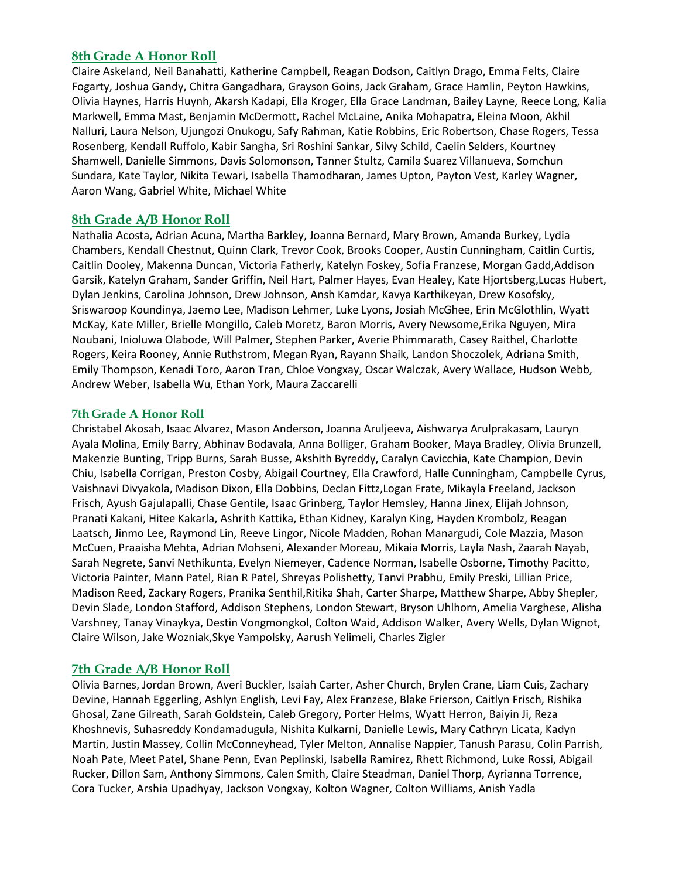## **8th Grade A Honor Roll**

Claire Askeland, Neil Banahatti, Katherine Campbell, Reagan Dodson, Caitlyn Drago, Emma Felts, Claire Fogarty, Joshua Gandy, Chitra Gangadhara, Grayson Goins, Jack Graham, Grace Hamlin, Peyton Hawkins, Olivia Haynes, Harris Huynh, Akarsh Kadapi, Ella Kroger, Ella Grace Landman, Bailey Layne, Reece Long, Kalia Markwell, Emma Mast, Benjamin McDermott, Rachel McLaine, Anika Mohapatra, Eleina Moon, Akhil Nalluri, Laura Nelson, Ujungozi Onukogu, Safy Rahman, Katie Robbins, Eric Robertson, Chase Rogers, Tessa Rosenberg, Kendall Ruffolo, Kabir Sangha, Sri Roshini Sankar, Silvy Schild, Caelin Selders, Kourtney Shamwell, Danielle Simmons, Davis Solomonson, Tanner Stultz, Camila Suarez Villanueva, Somchun Sundara, Kate Taylor, Nikita Tewari, Isabella Thamodharan, James Upton, Payton Vest, Karley Wagner, Aaron Wang, Gabriel White, Michael White

## **8th Grade A/B Honor Roll**

Nathalia Acosta, Adrian Acuna, Martha Barkley, Joanna Bernard, Mary Brown, Amanda Burkey, Lydia Chambers, Kendall Chestnut, Quinn Clark, Trevor Cook, Brooks Cooper, Austin Cunningham, Caitlin Curtis, Caitlin Dooley, Makenna Duncan, Victoria Fatherly, Katelyn Foskey, Sofia Franzese, Morgan Gadd,Addison Garsik, Katelyn Graham, Sander Griffin, Neil Hart, Palmer Hayes, Evan Healey, Kate Hjortsberg,Lucas Hubert, Dylan Jenkins, Carolina Johnson, Drew Johnson, Ansh Kamdar, Kavya Karthikeyan, Drew Kosofsky, Sriswaroop Koundinya, Jaemo Lee, Madison Lehmer, Luke Lyons, Josiah McGhee, Erin McGlothlin, Wyatt McKay, Kate Miller, Brielle Mongillo, Caleb Moretz, Baron Morris, Avery Newsome,Erika Nguyen, Mira Noubani, Inioluwa Olabode, Will Palmer, Stephen Parker, Averie Phimmarath, Casey Raithel, Charlotte Rogers, Keira Rooney, Annie Ruthstrom, Megan Ryan, Rayann Shaik, Landon Shoczolek, Adriana Smith, Emily Thompson, Kenadi Toro, Aaron Tran, Chloe Vongxay, Oscar Walczak, Avery Wallace, Hudson Webb, Andrew Weber, Isabella Wu, Ethan York, Maura Zaccarelli

#### **7th Grade A Honor Roll**

Christabel Akosah, Isaac Alvarez, Mason Anderson, Joanna Aruljeeva, Aishwarya Arulprakasam, Lauryn Ayala Molina, Emily Barry, Abhinav Bodavala, Anna Bolliger, Graham Booker, Maya Bradley, Olivia Brunzell, Makenzie Bunting, Tripp Burns, Sarah Busse, Akshith Byreddy, Caralyn Cavicchia, Kate Champion, Devin Chiu, Isabella Corrigan, Preston Cosby, Abigail Courtney, Ella Crawford, Halle Cunningham, Campbelle Cyrus, Vaishnavi Divyakola, Madison Dixon, Ella Dobbins, Declan Fittz,Logan Frate, Mikayla Freeland, Jackson Frisch, Ayush Gajulapalli, Chase Gentile, Isaac Grinberg, Taylor Hemsley, Hanna Jinex, Elijah Johnson, Pranati Kakani, Hitee Kakarla, Ashrith Kattika, Ethan Kidney, Karalyn King, Hayden Krombolz, Reagan Laatsch, Jinmo Lee, Raymond Lin, Reeve Lingor, Nicole Madden, Rohan Manargudi, Cole Mazzia, Mason McCuen, Praaisha Mehta, Adrian Mohseni, Alexander Moreau, Mikaia Morris, Layla Nash, Zaarah Nayab, Sarah Negrete, Sanvi Nethikunta, Evelyn Niemeyer, Cadence Norman, Isabelle Osborne, Timothy Pacitto, Victoria Painter, Mann Patel, Rian R Patel, Shreyas Polishetty, Tanvi Prabhu, Emily Preski, Lillian Price, Madison Reed, Zackary Rogers, Pranika Senthil,Ritika Shah, Carter Sharpe, Matthew Sharpe, Abby Shepler, Devin Slade, London Stafford, Addison Stephens, London Stewart, Bryson Uhlhorn, Amelia Varghese, Alisha Varshney, Tanay Vinaykya, Destin Vongmongkol, Colton Waid, Addison Walker, Avery Wells, Dylan Wignot, Claire Wilson, Jake Wozniak,Skye Yampolsky, Aarush Yelimeli, Charles Zigler

## **7th Grade A/B Honor Roll**

Olivia Barnes, Jordan Brown, Averi Buckler, Isaiah Carter, Asher Church, Brylen Crane, Liam Cuis, Zachary Devine, Hannah Eggerling, Ashlyn English, Levi Fay, Alex Franzese, Blake Frierson, Caitlyn Frisch, Rishika Ghosal, Zane Gilreath, Sarah Goldstein, Caleb Gregory, Porter Helms, Wyatt Herron, Baiyin Ji, Reza Khoshnevis, Suhasreddy Kondamadugula, Nishita Kulkarni, Danielle Lewis, Mary Cathryn Licata, Kadyn Martin, Justin Massey, Collin McConneyhead, Tyler Melton, Annalise Nappier, Tanush Parasu, Colin Parrish, Noah Pate, Meet Patel, Shane Penn, Evan Peplinski, Isabella Ramirez, Rhett Richmond, Luke Rossi, Abigail Rucker, Dillon Sam, Anthony Simmons, Calen Smith, Claire Steadman, Daniel Thorp, Ayrianna Torrence, Cora Tucker, Arshia Upadhyay, Jackson Vongxay, Kolton Wagner, Colton Williams, Anish Yadla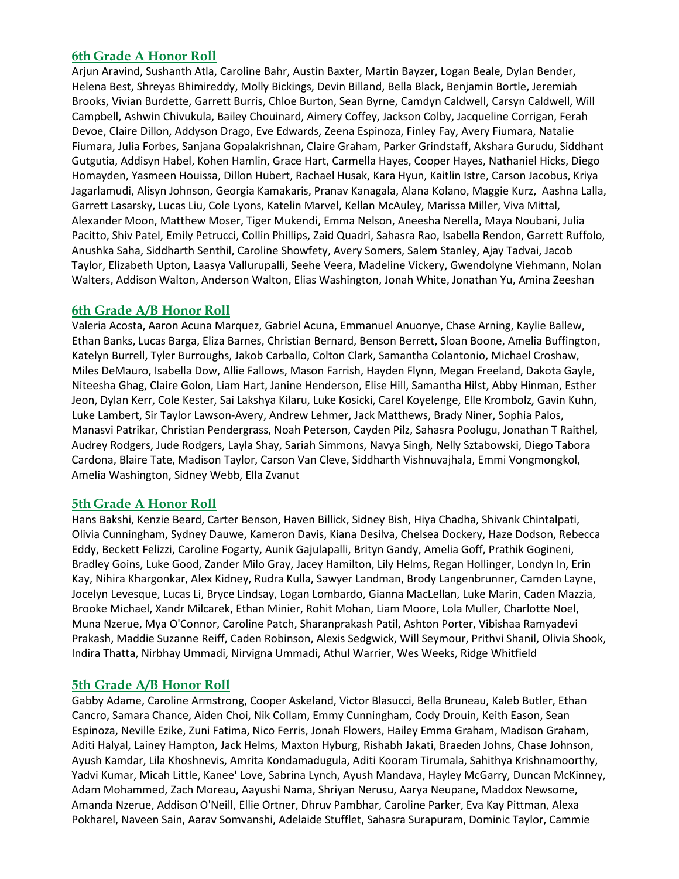## **6th Grade A Honor Roll**

Arjun Aravind, Sushanth Atla, Caroline Bahr, Austin Baxter, Martin Bayzer, Logan Beale, Dylan Bender, Helena Best, Shreyas Bhimireddy, Molly Bickings, Devin Billand, Bella Black, Benjamin Bortle, Jeremiah Brooks, Vivian Burdette, Garrett Burris, Chloe Burton, Sean Byrne, Camdyn Caldwell, Carsyn Caldwell, Will Campbell, Ashwin Chivukula, Bailey Chouinard, Aimery Coffey, Jackson Colby, Jacqueline Corrigan, Ferah Devoe, Claire Dillon, Addyson Drago, Eve Edwards, Zeena Espinoza, Finley Fay, Avery Fiumara, Natalie Fiumara, Julia Forbes, Sanjana Gopalakrishnan, Claire Graham, Parker Grindstaff, Akshara Gurudu, Siddhant Gutgutia, Addisyn Habel, Kohen Hamlin, Grace Hart, Carmella Hayes, Cooper Hayes, Nathaniel Hicks, Diego Homayden, Yasmeen Houissa, Dillon Hubert, Rachael Husak, Kara Hyun, Kaitlin Istre, Carson Jacobus, Kriya Jagarlamudi, Alisyn Johnson, Georgia Kamakaris, Pranav Kanagala, Alana Kolano, Maggie Kurz, Aashna Lalla, Garrett Lasarsky, Lucas Liu, Cole Lyons, Katelin Marvel, Kellan McAuley, Marissa Miller, Viva Mittal, Alexander Moon, Matthew Moser, Tiger Mukendi, Emma Nelson, Aneesha Nerella, Maya Noubani, Julia Pacitto, Shiv Patel, Emily Petrucci, Collin Phillips, Zaid Quadri, Sahasra Rao, Isabella Rendon, Garrett Ruffolo, Anushka Saha, Siddharth Senthil, Caroline Showfety, Avery Somers, Salem Stanley, Ajay Tadvai, Jacob Taylor, Elizabeth Upton, Laasya Vallurupalli, Seehe Veera, Madeline Vickery, Gwendolyne Viehmann, Nolan Walters, Addison Walton, Anderson Walton, Elias Washington, Jonah White, Jonathan Yu, Amina Zeeshan

## **6th Grade A/B Honor Roll**

Valeria Acosta, Aaron Acuna Marquez, Gabriel Acuna, Emmanuel Anuonye, Chase Arning, Kaylie Ballew, Ethan Banks, Lucas Barga, Eliza Barnes, Christian Bernard, Benson Berrett, Sloan Boone, Amelia Buffington, Katelyn Burrell, Tyler Burroughs, Jakob Carballo, Colton Clark, Samantha Colantonio, Michael Croshaw, Miles DeMauro, Isabella Dow, Allie Fallows, Mason Farrish, Hayden Flynn, Megan Freeland, Dakota Gayle, Niteesha Ghag, Claire Golon, Liam Hart, Janine Henderson, Elise Hill, Samantha Hilst, Abby Hinman, Esther Jeon, Dylan Kerr, Cole Kester, Sai Lakshya Kilaru, Luke Kosicki, Carel Koyelenge, Elle Krombolz, Gavin Kuhn, Luke Lambert, Sir Taylor Lawson-Avery, Andrew Lehmer, Jack Matthews, Brady Niner, Sophia Palos, Manasvi Patrikar, Christian Pendergrass, Noah Peterson, Cayden Pilz, Sahasra Poolugu, Jonathan T Raithel, Audrey Rodgers, Jude Rodgers, Layla Shay, Sariah Simmons, Navya Singh, Nelly Sztabowski, Diego Tabora Cardona, Blaire Tate, Madison Taylor, Carson Van Cleve, Siddharth Vishnuvajhala, Emmi Vongmongkol, Amelia Washington, Sidney Webb, Ella Zvanut

## **5th Grade A Honor Roll**

Hans Bakshi, Kenzie Beard, Carter Benson, Haven Billick, Sidney Bish, Hiya Chadha, Shivank Chintalpati, Olivia Cunningham, Sydney Dauwe, Kameron Davis, Kiana Desilva, Chelsea Dockery, Haze Dodson, Rebecca Eddy, Beckett Felizzi, Caroline Fogarty, Aunik Gajulapalli, Brityn Gandy, Amelia Goff, Prathik Gogineni, Bradley Goins, Luke Good, Zander Milo Gray, Jacey Hamilton, Lily Helms, Regan Hollinger, Londyn In, Erin Kay, Nihira Khargonkar, Alex Kidney, Rudra Kulla, Sawyer Landman, Brody Langenbrunner, Camden Layne, Jocelyn Levesque, Lucas Li, Bryce Lindsay, Logan Lombardo, Gianna MacLellan, Luke Marin, Caden Mazzia, Brooke Michael, Xandr Milcarek, Ethan Minier, Rohit Mohan, Liam Moore, Lola Muller, Charlotte Noel, Muna Nzerue, Mya O'Connor, Caroline Patch, Sharanprakash Patil, Ashton Porter, Vibishaa Ramyadevi Prakash, Maddie Suzanne Reiff, Caden Robinson, Alexis Sedgwick, Will Seymour, Prithvi Shanil, Olivia Shook, Indira Thatta, Nirbhay Ummadi, Nirvigna Ummadi, Athul Warrier, Wes Weeks, Ridge Whitfield

#### **5th Grade A/B Honor Roll**

Gabby Adame, Caroline Armstrong, Cooper Askeland, Victor Blasucci, Bella Bruneau, Kaleb Butler, Ethan Cancro, Samara Chance, Aiden Choi, Nik Collam, Emmy Cunningham, Cody Drouin, Keith Eason, Sean Espinoza, Neville Ezike, Zuni Fatima, Nico Ferris, Jonah Flowers, Hailey Emma Graham, Madison Graham, Aditi Halyal, Lainey Hampton, Jack Helms, Maxton Hyburg, Rishabh Jakati, Braeden Johns, Chase Johnson, Ayush Kamdar, Lila Khoshnevis, Amrita Kondamadugula, Aditi Kooram Tirumala, Sahithya Krishnamoorthy, Yadvi Kumar, Micah Little, Kanee' Love, Sabrina Lynch, Ayush Mandava, Hayley McGarry, Duncan McKinney, Adam Mohammed, Zach Moreau, Aayushi Nama, Shriyan Nerusu, Aarya Neupane, Maddox Newsome, Amanda Nzerue, Addison O'Neill, Ellie Ortner, Dhruv Pambhar, Caroline Parker, Eva Kay Pittman, Alexa Pokharel, Naveen Sain, Aarav Somvanshi, Adelaide Stufflet, Sahasra Surapuram, Dominic Taylor, Cammie